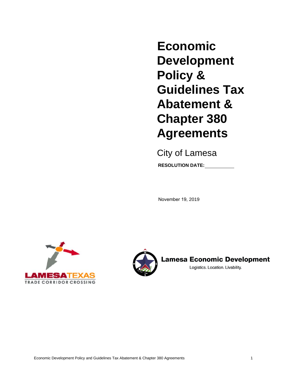**Economic Development Policy & Guidelines Tax Abatement & Chapter 380 Agreements**

City of Lamesa **RESOLUTION DATE:**

November 19, 2019





**Lamesa Economic Development** 

Logistics. Location. Livability.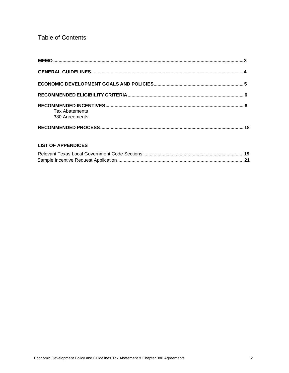# **Table of Contents**

| <b>Tax Abatements</b><br>380 Agreements |  |
|-----------------------------------------|--|
|                                         |  |

# **LIST OF APPENDICES**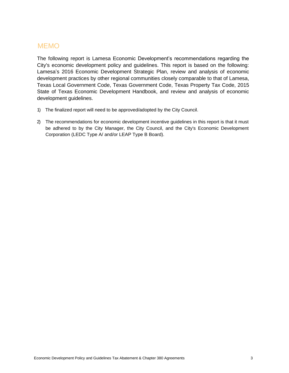# <span id="page-2-0"></span>MEMO

The following report is Lamesa Economic Development's recommendations regarding the City's economic development policy and guidelines. This report is based on the following: Lamesa's 2016 Economic Development Strategic Plan, review and analysis of economic development practices by other regional communities closely comparable to that of Lamesa, Texas Local Government Code, Texas Government Code, Texas Property Tax Code, 2015 State of Texas Economic Development Handbook, and review and analysis of economic development guidelines.

- 1) The finalized report will need to be approved/adopted by the City Council.
- 2) The recommendations for economic development incentive guidelines in this report is that it must be adhered to by the City Manager, the City Council, and the City's Economic Development Corporation (LEDC Type A/ and/or LEAP Type B Board).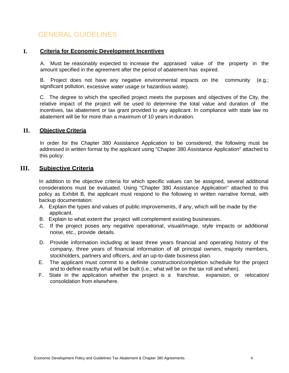# GENERAL GUIDELINES

#### <span id="page-3-0"></span>**I. Criteria for Economic Development Incentives**

A. Must be reasonably expected to increase the appraised value of the property in the amount specified in the agreement after the period of abatement has expired.

B. Project does not have any negative environmental impacts on the community (e.g.; significant pollution, excessive water usage or hazardous waste).

C. The degree to which the specified project meets the purposes and objectives of the City, the relative impact of the project will be used to determine the total value and duration of the incentives, tax abatement or tax grant provided to any applicant. In compliance with state law no abatement will be for more than a maximum of 10 years in duration.

## **II. Objective Criteria**

In order for the Chapter 380 Assistance Application to be considered, the following must be addressed in written format by the applicant using "Chapter 380 Assistance Application" attached to this policy:

## **III. Subjective Criteria**

In addition to the objective criteria for which specific values can be assigned, several additional considerations must be evaluated. Using "Chapter 380 Assistance Application" attached to this policy as Exhibit B, the applicant must respond to the following in written narrative format, with backup documentation:

- A. Explain the types and values of public improvements, if any, which will be made by the applicant.
- B. Explain to what extent the project will complement existing businesses.
- C. If the project poses any negative operational, visual/image, style impacts or additional noise, etc., provide details.
- D. Provide information including at least three years financial and operating history of the company, three years of financial information of all principal owners, majority members, stockholders, partners and officers, and an up-to-date business plan.
- E. The applicant must commit to a definite construction/completion schedule for the project and to define exactly what will be built (i.e.; what will be on the tax roll and when).
- F. State in the application whether the project is a franchise, expansion, or relocation/ consolidation from elsewhere.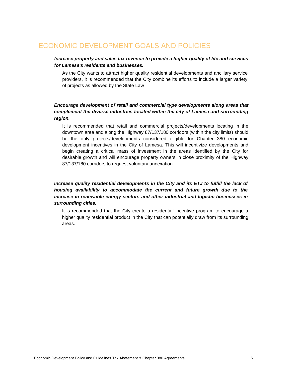# <span id="page-4-0"></span>ECONOMIC DEVELOPMENT GOALS AND POLICIES

#### *Increase property and sales tax revenue to provide a higher quality of life and services for Lamesa's residents and businesses.*

As the City wants to attract higher quality residential developments and ancillary service providers, it is recommended that the City combine its efforts to include a larger variety of projects as allowed by the State Law

## *Encourage development of retail and commercial type developments along areas that complement the diverse industries located within the city of Lamesa and surrounding region.*

It is recommended that retail and commercial projects/developments locating in the downtown area and along the Highway 87/137/180 corridors (within the city limits) should be the only projects/developments considered eligible for Chapter 380 economic development incentives in the City of Lamesa. This will incentivize developments and begin creating a critical mass of investment in the areas identified by the City for desirable growth and will encourage property owners in close proximity of the Highway 87/137/180 corridors to request voluntary annexation.

*Increase quality residential developments in the City and its ETJ to fulfill the lack of housing availability to accommodate the current and future growth due to the increase in renewable energy sectors and other industrial and logistic businesses in surrounding cities.*

It is recommended that the City create a residential incentive program to encourage a higher quality residential product in the City that can potentially draw from its surrounding areas.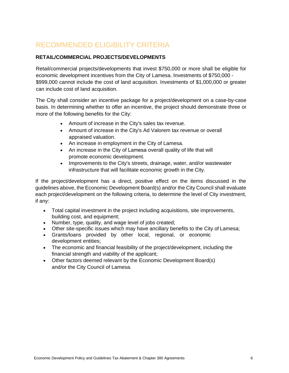# <span id="page-5-0"></span>RECOMMENDED ELIGIBILITY CRITERIA

## **RETAIL/COMMERCIAL PROJECTS/DEVELOPMENTS**

Retail/commercial projects/developments that invest \$750,000 or more shall be eligible for economic development incentives from the City of Lamesa. Investments of \$750,000 - \$999,000 cannot include the cost of land acquisition. Investments of \$1,000,000 or greater can include cost of land acquisition.

The City shall consider an incentive package for a project/development on a case-by-case basis. In determining whether to offer an incentive, the project should demonstrate three or more of the following benefits for the City:

- Amount of increase in the City's sales tax revenue.
- Amount of increase in the City's Ad Valorem tax revenue or overall appraised valuation.
- An increase in employment in the City of Lamesa.
- An increase in the City of Lamesa overall quality of life that will promote economic development.
- Improvements to the City's streets, drainage, water, and/or wastewater infrastructure that will facilitate economic growth in the City.

If the project/development has a direct, positive effect on the items discussed in the guidelines above, the Economic Development Board(s) and/or the City Council shall evaluate each project/development on the following criteria, to determine the level of City investment, if any:

- Total capital investment in the project including acquisitions, site improvements, building cost, and equipment;
- Number, type, quality, and wage level of jobs created;
- Other site-specific issues which may have ancillary benefits to the City of Lamesa;
- Grants/loans provided by other local, regional, or economic development entities;
- The economic and financial feasibility of the project/development, including the financial strength and viability of the applicant;
- Other factors deemed relevant by the Economic Development Board(s) and/or the City Council of Lamesa.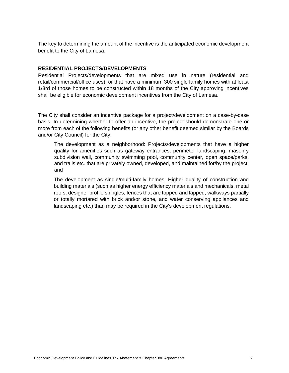The key to determining the amount of the incentive is the anticipated economic development benefit to the City of Lamesa.

#### **RESIDENTIAL PROJECTS/DEVELOPMENTS**

Residential Projects/developments that are mixed use in nature (residential and retail/commercial/office uses), or that have a minimum 300 single family homes with at least 1/3rd of those homes to be constructed within 18 months of the City approving incentives shall be eligible for economic development incentives from the City of Lamesa.

The City shall consider an incentive package for a project/development on a case-by-case basis. In determining whether to offer an incentive, the project should demonstrate one or more from each of the following benefits (or any other benefit deemed similar by the Boards and/or City Council) for the City:

The development as a neighborhood: Projects/developments that have a higher quality for amenities such as gateway entrances, perimeter landscaping, masonry subdivision wall, community swimming pool, community center, open space/parks, and trails etc. that are privately owned, developed, and maintained for/by the project; and

The development as single/multi-family homes: Higher quality of construction and building materials (such as higher energy efficiency materials and mechanicals, metal roofs, designer profile shingles, fences that are topped and lapped, walkways partially or totally mortared with brick and/or stone, and water conserving appliances and landscaping etc.) than may be required in the City's development regulations.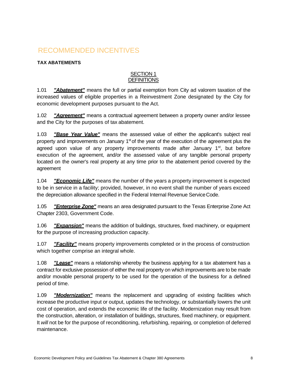# <span id="page-7-0"></span>RECOMMENDED INCENTIVES

## **TAX ABATEMENTS**

#### SECTION 1 **DEFINITIONS**

1.01 *"Abatement"* means the full or partial exemption from City ad valorem taxation of the increased values of eligible properties in a Reinvestment Zone designated by the City for economic development purposes pursuant to the Act.

1.02 *"Agreement"* means a contractual agreement between a property owner and/or lessee and the City for the purposes of tax abatement.

1.03 *"Base Year Value"* means the assessed value of either the applicant's subject real property and improvements on January 1<sup>st</sup> of the year of the execution of the agreement plus the agreed upon value of any property improvements made after January 1<sup>st</sup>, but before execution of the agreement, and/or the assessed value of any tangible personal property located on the owner's real property at any time prior to the abatement period covered by the agreement

1.04 *"Economic Life"* means the number of the years a property improvement is expected to be in service in a facility; provided, however, in no event shall the number of years exceed the depreciation allowance specified in the Federal Internal Revenue ServiceCode.

1.05 *"Enterprise Zone"* means an area designated pursuant to the Texas Enterprise Zone Act Chapter 2303, Government Code.

1.06 *"Expansion"* means the addition of buildings, structures, fixed machinery, or equipment for the purpose of increasing production capacity.

1.07 *"Facility"* means property improvements completed or in the process of construction which together comprise an integral whole.

1.08 *"Lease"* means a relationship whereby the business applying for a tax abatement has a contract for exclusive possession of either the real property on which improvements are to be made and/or movable personal property to be used for the operation of the business for a defined period of time.

1.09 *"Modernization"* means the replacement and upgrading of existing facilities which increase the productive input or output, updates the technology, or substantially lowers the unit cost of operation, and extends the economic life of the facility. Modernization may result from the construction, alteration, or installation of buildings, structures, fixed machinery, or equipment. It *will* not be for the purpose of reconditioning, refurbishing, repairing, or completion of deferred maintenance.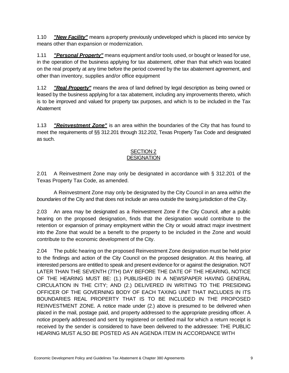1.10 *"New Facility"* means a property previously undeveloped which is placed into service by means other than expansion or modernization.

1.11 *"Personal Property"* means equipment and/or tools used, or bought or leased for use, in the operation of the business applying for tax abatement, other than that which was located on the real property at any time before the period covered by the tax abatement agreement, and other than inventory, supplies and/or office equipment

1.12 *"Real Property"* means the area of land defined by legal description as being owned or leased by the business applying for a tax abatement, including any improvements thereto, which is to be improved and valued for property tax purposes, and which Is to be included in the Tax Abatement

1.13 *"Reinvestment Zone"* is an area within the boundaries of the City that has found to meet the requirements of §§ 312.201 through 312.202, Texas Property Tax Code and designated as such.

## SECTION 2 **DESIGNATION**

2.01 A Reinvestment Zone may only be designated in accordance with § 312.201 of the Texas Property Tax Code, as amended.

A Reinvestment Zone may only be designated by the City Council in an area *within the boundaries* of the City and that does not include an area outside the taxing jurisdiction of the City.

2.03 An area may be designated as a Reinvestment Zone if the City Council, after a public hearing on the proposed designation, finds that the designation would contribute to the retention or expansion of primary employment within the City or would attract major investment into the Zone that would be a benefit to the property to be included in the Zone and would contribute to the economic development of the City.

2.04 The public hearing on the proposed Reinvestment Zone designation must be held prior to the findings and action of the City Council on the proposed designation. At this hearing, all interested persons are entitled to speak and present evidence for or against the designation. NOT LATER THAN THE SEVENTH (7TH) DAY BEFORE THE DATE OF THE HEARING, NOTICE OF THE HEARING MUST BE: (1.) PUBLISHED IN A NEWSPAPER HAVING GENERAL CIRCULATION IN THE CITY; AND (2.) DELIVERED IN WRITING TO THE PRESIDING OFFICER OF THE GOVERNING BODY OF EACH TAXING UNIT THAT INCLUDES IN ITS BOUNDARIES REAL PROPERTY THAT IS TO BE INCLUDED IN THE PROPOSED REINVESTMENT ZONE. A notice made under (2.) above is presumed to be delivered when placed in the mail, postage paid, and property addressed to the appropriate presiding officer. A notice properly addressed and sent by registered or certified mail for which a return receipt is received by the sender is considered to have been delivered to the addressee: THE PUBLIC HEARING MUST ALSO BE POSTED AS AN AGENDA ITEM IN ACCORDANCE WITH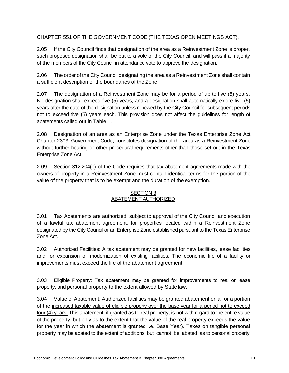CHAPTER 551 OF THE GOVERNMENT CODE (THE TEXAS OPEN MEETINGS ACT).

2.05 If the City Council finds that designation of the area as a Reinvestment Zone is proper, such proposed designation shall be put to a vote of the City Council, and will pass if a majority of the members of the City Council in attendance vote to approve the designation.

2.06 The order of the City Council designating the area as a Reinvestment Zone shall contain a sufficient description of the boundaries of the Zone.

2.07 The designation of a Reinvestment Zone may be for a period of up to five (5) years. No designation shall exceed five (5) years, and a designation shall automatically expire five (5) years after the date of the designation unless renewed by the City Council for subsequent periods not to exceed five (5) years each. This provision does not affect the guidelines for length of abatements called out in Table 1.

2.08 Designation of an area as an Enterprise Zone under the Texas Enterprise Zone Act Chapter 2303, Government Code, constitutes designation of the area as a Reinvestment Zone without further hearing or other procedural requirements other than those set out in the Texas Enterprise Zone Act.

2.09 Section 312.204(b) of the Code requires that tax abatement agreements made with the owners of property in a Reinvestment Zone must contain identical terms for the portion of the value of the property that is to be exempt and the duration of the exemption.

## SECTION 3 ABATEMENT AUTHORIZED

3.01 Tax Abatements are authorized, subject to approval of the City Council and execution of a lawful tax abatement agreement, for properties located within a Reinvestment Zone designated by the City Council or an Enterprise Zone established pursuant to the Texas Enterprise Zone Act.

3.02 Authorized Facilities: A tax abatement may be granted for new facilities, lease facilities and for expansion or modernization of existing facilities. The economic life of a facility or improvements must exceed the life of the abatement agreement.

3.03 Eligible Property: Tax abatement may be granted for improvements to real or lease property, and personal property to the extent allowed by State law.

3.04 Value of Abatement: Authorized facilities may be granted abatement on all or a portion of the increased taxable value of eligible property over the base year for a period not to exceed four (4) years. This abatement, if granted as to real property, is not with regard to the entire value of the property, but only as to the extent that the value of the real property exceeds the value for the year in which the abatement is granted i.e. Base Year). Taxes on tangible personal property may be abated to the extent of additions, but cannot be abated as to personal property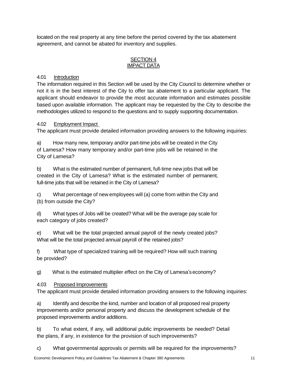located on the real property at any time before the period covered by the tax abatement agreement, and cannot be abated for inventory and supplies.

#### SECTION 4 IMPACT DATA

# 4.01 Introduction

The information required in this Section will be used by the City Council to determine whether or not it is in the best interest of the City to offer tax abatement to a particular applicant. The applicant should endeavor to provide the most accurate information and estimates possible based upon available information. The applicant may be requested by the City to describe the methodologies utilized to respond to the questions and to supply supporting documentation.

# 4.02 Employment Impact

The applicant must provide detailed information providing answers to the following inquiries:

a) How many new, temporary and/or part-time jobs will be created in the City of Lamesa? How many temporary and/or part-time jobs will be retained in the City of Lamesa?

b) What is the estimated number of permanent, full-time new jobs that will be created in the City of Lamesa? What is the estimated number of permanent, full-time jobs that will be retained in the City of Lamesa?

c) What percentage of new employees will (a) come from within the City and (b) from outside the City?

d) What types of Jobs will be created? What will be the average pay scale for each category of jobs created?

e) What will be the total projected annual payroll of the newly created jobs? What will be the total projected annual payroll of the retained jobs?

f) What type of specialized training will be required? How will such training be provided?

g) What is the estimated multiplier effect on the City of Lamesa's economy?

# 4.03 Proposed Improvements

The applicant must provide detailed information providing answers to the following inquiries:

a) Identify and describe the kind, number and location of all proposed real property improvements and/or personal property and discuss the development schedule of the proposed improvements and/or additions.

b) To what extent, if any, will additional public improvements be needed? Detail the plans, if any, in existence for the provision of such improvements?

c) What governmental approvals or permits will be required for the improvements?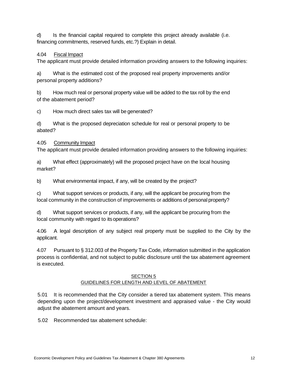d) Is the financial capital required to complete this project already available (i.e. financing commitments, reserved funds, etc.?) Explain in detail.

# 4.04 Fiscal Impact

The applicant must provide detailed information providing answers to the following inquiries:

a) What is the estimated cost of the proposed real property improvements and/or personal property additions?

b) How much real or personal property value will be added to the tax roll by the end of the abatement period?

c) How much direct sales tax will be generated?

d) What is the proposed depreciation schedule for real or personal property to be abated?

## 4.05 Community Impact

The applicant must provide detailed information providing answers to the following inquiries:

a) What effect (approximately) will the proposed project have on the local housing market?

b) What environmental impact, if any, will be created by the project?

c) What support services or products, if any, will the applicant be procuring from the local community in the construction of improvements or additions of personal property?

d) What support services or products, if any, will the applicant be procuring from the local community with regard to its operations?

4.06 A legal description of any subject real property must be supplied to the City by the applicant.

4.07 Pursuant to § 312.003 of the Property Tax Code, information submitted in the application process is confidential, and not subject to public disclosure until the tax abatement agreement is executed.

#### SECTION 5 GUIDELINES FOR LENGTH AND LEVEL OF ABATEMENT

5.01 It is recommended that the City consider a tiered tax abatement system. This means depending upon the project/development investment and appraised value - the City would adjust the abatement amount and years.

5.02 Recommended tax abatement schedule: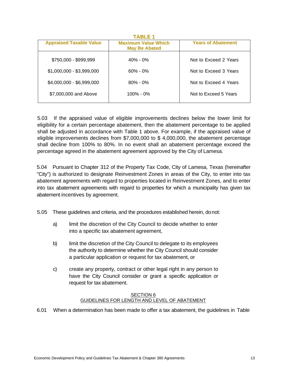| TABLE 1                        |                                                    |                           |  |
|--------------------------------|----------------------------------------------------|---------------------------|--|
| <b>Appraised Taxable Value</b> | <b>Maximum Value Which</b><br><b>May Be Abated</b> | <b>Years of Abatement</b> |  |
| \$750,000 - \$999,999          | $40\% - 0\%$                                       | Not to Exceed 2 Years     |  |
| $$1,000,000 - $3,999,000$      | $60\% - 0\%$                                       | Not to Exceed 3 Years     |  |
| \$4,000,000 - \$6,999,000      | $80\% - 0\%$                                       | Not to Exceed 4 Years     |  |
| \$7,000,000 and Above          | $100\% - 0\%$                                      | Not to Exceed 5 Years     |  |

5.03 If the appraised value of eligible improvements declines below the lower limit for eligibility for a certain percentage abatement, then the abatement percentage to be applied shall be adjusted in accordance with Table 1 above. For example, if the appraised value of eligible improvements declines from \$7,000,000 to \$ 4,000,000, the abatement percentage shall decline from 100% to 80%. In no event shall an abatement percentage exceed the percentage agreed in the abatement agreement approved by the City of Lamesa.

5.04 Pursuant to Chapter 312 of the Property Tax Code, City of Lamesa, Texas (hereinafter "City") is authorized to designate Reinvestment Zones in areas of the City, to enter into tax abatement agreements with regard to properties located in Reinvestment Zones, and to enter into tax abatement agreements with regard to properties for which a municipality has given tax abatement incentives by agreement.

5.05 These guidelines and criteria, and the procedures established herein, donot:

- a) limit the discretion of the City Council to decide whether to enter into a specific tax abatement agreement,
- b) limit the discretion of the City Council to delegate to its employees the authority to determine whether the City Council should consider a particular application or request for tax abatement, or
- c) create any property, contract or other legal right in any person to have the City Council consider or grant a specific application or request for tax abatement.

## SECTION<sub>6</sub> GUIDELINES FOR LENGTH AND LEVEL OF ABATEMENT

6.01 When a determination has been made to offer a tax abatement, the guidelines in Table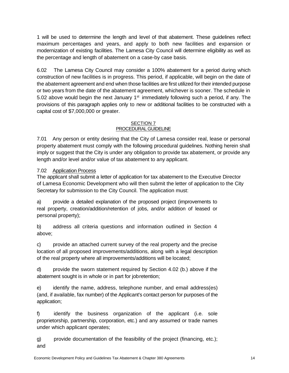1 will be used to determine the length and level of that abatement. These guidelines reflect maximum percentages and years, and apply to both new facilities and expansion or modernization of existing facilities. The Lamesa City Council will determine eligibility as well as the percentage and length of abatement on a case-by case basis.

6.02 The Lamesa City Council may consider a 100% abatement for a period during which construction of new facilities is in progress. This period, if applicable, will begin on the date of the abatement agreement and end when those facilities are first utilized for their intended purpose or two years from the date of the abatement agreement, whichever is sooner. The schedule in 5.02 above would begin the next January  $1<sup>st</sup>$  immediately following such a period, if any. The provisions of this paragraph applies only to new or additional facilities to be constructed with a capital cost of \$7,000,000 or greater.

#### SECTION 7 PROCEDURAL GUIDELINE

7.01 Any person or entity desiring that the City of Lamesa consider real, lease or personal property abatement must comply with the following procedural guidelines. Nothing herein shall imply or suggest that the City is under any obligation to provide tax abatement, or provide any length and/or level and/or value of tax abatement to any applicant.

# 7.02 Application Process

The applicant shall submit a letter of application for tax abatement to the Executive Director of Lamesa Economic Development who will then submit the letter of application to the City Secretary for submission to the City Council. The application must:

a) provide a detailed explanation of the proposed project (improvements to real property, creation/addition/retention of jobs, and/or addition of leased or personal property);

b) address all criteria questions and information outlined in Section 4 above;

c) provide an attached current survey of the real property and the precise location of all proposed improvements/additions, along with a legal description of the real property where all improvements/additions will be located;

d) provide the sworn statement required by Section 4.02 (b.) above if the abatement sought is in whole or in part for jobretention;

e) identify the name, address, telephone number, and email address(es) (and, if available, fax number) of the Applicant's contact person for purposes of the application;

f) identify the business organization of the applicant (i.e. sole proprietorship, partnership, corporation, etc.) and any assumed or trade names under which applicant operates;

g) provide documentation of the feasibility of the project (financing, etc.); and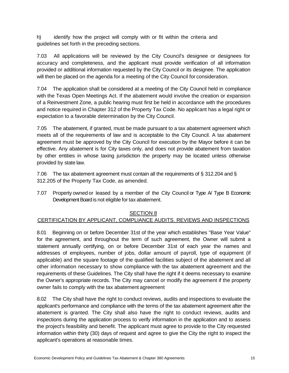h) identify how the project will comply with or fit within the criteria and guidelines set forth in the preceding sections.

7.03 All applications will be reviewed by the City Council's designee or designees for accuracy and completeness, and the applicant must provide verification of all information provided or additional information requested by the City Council or its designee. The application will then be placed on the agenda for a meeting of the City Council for consideration.

7.04 The application shall be considered at a meeting of the City Council held in compliance with the Texas Open Meetings Act. If the abatement would involve the creation or expansion of a Reinvestment Zone, a public hearing must first be held in accordance with the procedures and notice required in Chapter 312 of the Property Tax Code. No applicant has a legal right or expectation to a favorable determination by the City Council.

7.05 The abatement, if granted, must be made pursuant to a tax abatement agreement which meets all of the requirements of law and is acceptable to the City Council. A tax abatement agreement must be approved by the City Council for execution by the Mayor before it can be effective. Any abatement is for City taxes only, and does not provide abatement from taxation by other entities in whose taxing jurisdiction the property may be located unless otherwise provided by state law.

7.06 The tax abatement agreement must contain all the requirements of § 312.204 and § 312.205 of the Property Tax Code, as amended.

7.07 Property owned or leased by a member of the City Council or Type A/ Type B Economic Development Board is not eligible for tax abatement.

## SECTION 8

## CERTIFICATION BY APPLICANT, COMPLIANCE AUDITS. REVIEWS AND INSPECTIONS

8.01 Beginning on or before December 31st of the year which establishes "Base Year Value" for the agreement, and throughout the term of such agreement, the Owner will submit a statement annually certifying, on or before December 31st of each year the names and addresses of employees, number of jobs, dollar amount of payroll, type of equipment (if applicable) and the square footage of the qualified facilities subject of the abatement and all other information necessary to show compliance with the tax abatement agreement and the requirements of these Guidelines. The City shall have the right if it deems necessary to examine the Owner's appropriate records. The City may cancel or modify the agreement if the property owner fails to comply with the tax abatement agreement

8.02 The City shall have the right to conduct reviews, audits and inspections to evaluate the applicant's performance and compliance with the terms of the tax abatement agreement after the abatement is granted. The City shall also have the right to conduct reviews, audits and inspections during the application process to verify information in the application and to assess the project's feasibility and benefit. The applicant must agree to provide to the City requested information within thirty (30) days of request and agree to give the City the right to inspect the applicant's operations at reasonable times.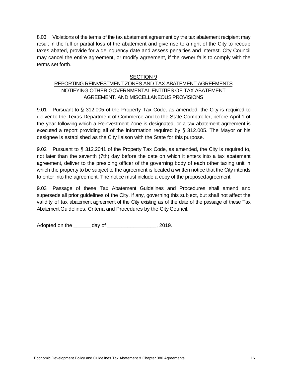8.03 Violations of the terms of the tax abatement agreement by the tax abatement recipient may result in the full or partial loss of the abatement and give rise to a right of the City to recoup taxes abated, provide for a delinquency date and assess penalties and interest. City Council may cancel the entire agreement, or modify agreement, if the owner fails to comply with the terms set forth.

#### SECTION 9

# REPORTING REINVESTMENT ZONES AND TAX ABATEMENT AGREEMENTS NOTIFYING OTHER GOVERNMENTAL ENTITIES OF TAX ABATEMENT AGREEMENT. AND MISCELLANEOUS PROVISIONS

9.01 Pursuant to § 312.005 of the Property Tax Code, as amended, the City is required to deliver to the Texas Department of Commerce and to the State Comptroller, before April 1 of the year following which a Reinvestment Zone is designated, or a tax abatement agreement is executed a report providing all of the information required by § 312.005. The Mayor or his designee is established as the City liaison with the State for this purpose.

9.02 Pursuant to § 312.2041 of the Property Tax Code, as amended, the City is required to, not later than the seventh (7th) day before the date on which it enters into a tax abatement agreement, deliver to the presiding officer of the governing body of each other taxing unit in which the property to be subject to the agreement is located a written notice that the City intends to enter into the agreement. The notice must include a copy of the proposedagreement

9.03 Passage of these Tax Abatement Guidelines and Procedures shall amend and supersede all prior guidelines of the City, if any, governing this subject, but shall not affect the validity of tax abatement agreement of the City existing as of the date of the passage of these Tax Abatement Guidelines, Criteria and Procedures by the City Council.

Adopted on the \_\_\_\_\_\_ day of \_\_\_\_\_\_\_\_\_\_\_\_\_\_\_\_\_, 2019.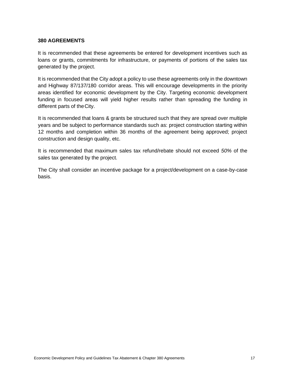#### **380 AGREEMENTS**

It is recommended that these agreements be entered for development incentives such as loans or grants, commitments for infrastructure, or payments of portions of the sales tax generated by the project.

It is recommended that the City adopt a policy to use these agreements only in the downtown and Highway 87/137/180 corridor areas. This will encourage developments in the priority areas identified for economic development by the City. Targeting economic development funding in focused areas will yield higher results rather than spreading the funding in different parts of theCity.

It is recommended that loans & grants be structured such that they are spread over multiple years and be subject to performance standards such as: project construction starting within 12 months and completion within 36 months of the agreement being approved; project construction and design quality, etc.

It is recommended that maximum sales tax refund/rebate should not exceed *50%* of the sales tax generated by the project.

The City shall consider an incentive package for a project/development on a case-by-case basis.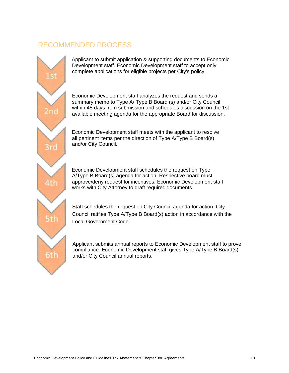# <span id="page-17-0"></span>RECOMMENDED PROCESS



Applicant to submit application & supporting documents to Economic Development staff. Economic Development staff to accept only complete applications for eligible projects per City's policy.

Economic Development staff analyzes the request and sends a summary memo to Type A/ Type B Board (s) and/or City Council within 45 days from submission and schedules discussion on the 1st available meeting agenda for the appropriate Board for discussion.

Economic Development staff meets with the applicant to resolve all pertinent items per the direction of Type A/Type B Board(s) and/or City Council.

Economic Development staff schedules the request on Type A/Type B Board(s) agenda for action. Respective board must approve/deny request for incentives. Economic Development staff works with City Attorney to draft required documents.

Staff schedules the request on City Council agenda for action. City Council ratifies Type A/Type B Board(s) action in accordance with the Local Government Code.

Applicant submits annual reports to Economic Development staff to prove compliance. Economic Development staff gives Type A/Type B Board(s) and/or City Council annual reports.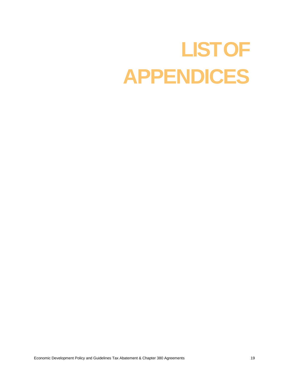# <span id="page-18-0"></span>**LISTOF APPENDICES**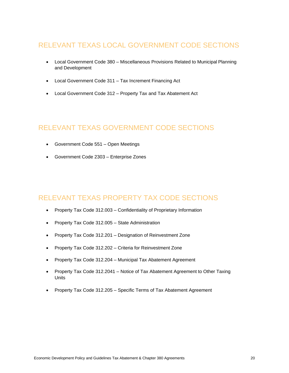# <span id="page-19-0"></span>RELEVANT TEXAS LOCAL GOVERNMENT CODE SECTIONS

- Local Government Code 380 Miscellaneous Provisions Related to Municipal Planning and Development
- Local Government Code 311 Tax Increment Financing Act
- Local Government Code 312 Property Tax and Tax Abatement Act

# RELEVANT TEXAS GOVERNMENT CODE SECTIONS

- Government Code 551 Open Meetings
- Government Code 2303 Enterprise Zones

# RELEVANT TEXAS PROPERTY TAX CODE SECTIONS

- Property Tax Code 312.003 Confidentiality of Proprietary Information
- Property Tax Code 312.005 State Administration
- Property Tax Code 312.201 Designation of Reinvestment Zone
- Property Tax Code 312.202 Criteria for Reinvestment Zone
- Property Tax Code 312.204 Municipal Tax Abatement Agreement
- Property Tax Code 312.2041 Notice of Tax Abatement Agreement to Other Taxing Units
- Property Tax Code 312.205 Specific Terms of Tax Abatement Agreement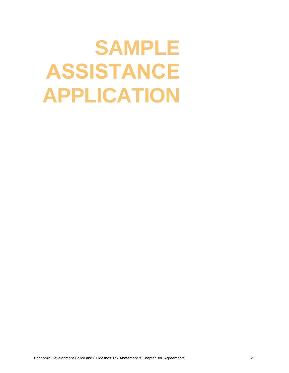# <span id="page-20-0"></span>**SAMPLE ASSISTANCE APPLICATION**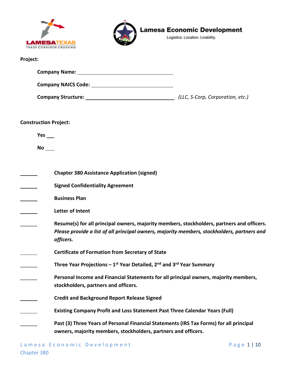| <b>LAMESAT</b> EXAS     |
|-------------------------|
| TRADE CORRIDOR CROSSING |



Logistics. Location. Livability.

# **Project:**

| <b>Company Name:</b>       |                                  |
|----------------------------|----------------------------------|
| <b>Company NAICS Code:</b> |                                  |
| <b>Company Structure:</b>  | (LLC, S-Corp, Corporation, etc.) |

**Construction Project:**

**Yes** 

**No** 

| <b>Chapter 380 Assistance Application (signed)</b>                                                                                                                                                     |
|--------------------------------------------------------------------------------------------------------------------------------------------------------------------------------------------------------|
| <b>Signed Confidentiality Agreement</b>                                                                                                                                                                |
| <b>Business Plan</b>                                                                                                                                                                                   |
| Letter of Intent                                                                                                                                                                                       |
| Resume(s) for all principal owners, majority members, stockholders, partners and officers.<br>Please provide a list of all principal owners, majority members, stockholders, partners and<br>officers. |
| <b>Certificate of Formation from Secretary of State</b>                                                                                                                                                |
| Three Year Projections – $1^{st}$ Year Detailed, $2^{nd}$ and $3^{rd}$ Year Summary                                                                                                                    |
| Personal Income and Financial Statements for all principal owners, majority members,<br>stockholders, partners and officers.                                                                           |
| <b>Credit and Background Report Release Signed</b>                                                                                                                                                     |
| <b>Existing Company Profit and Loss Statement Past Three Calendar Years (Full)</b>                                                                                                                     |
| Past (3) Three Years of Personal Financial Statements (IRS Tax Forms) for all principal<br>owners, majority members, stockholders, partners and officers.                                              |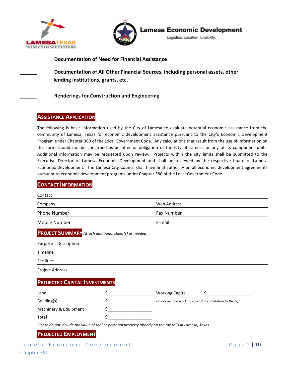



Logistics. Location. Livability.

#### **Documentation of Need for Financial Assistance**

**Documentation of All Other Financial Sources, including personal assets, other lending institutions, grants, etc.**

#### **Renderings for Construction and Engineering**

## **ASSISTANCE APPLICATION**

The following is basic information used by the City of Lamesa to evaluate potential economic assistance from the community of Lamesa, Texas for economic development assistance pursuant to the City's Economic Development Program under Chapter 380 of the Local Government Code. Any calculations that result from the use of information on this form should not be construed as an offer or obligation of the City of Lamesa or any of its component units. Additional information may be requested upon review. Projects within the city limits shall be submitted to the Executive Director of Lamesa Economic Development and shall be reviewed by the respective board of Lamesa Economic Development. The Lamesa City Council shall have final authority on all economic development agreements pursuant to economic development programs under Chapter 380 of the Local Government Code.

# Lamesa Economic Development extended the Page 2 | 10 Chapter 380 **CONTACT INFORMATION** Contact Company Web Address Phone Number **Fax Number** Fax Number Mobile Number E-mail **PROJECT SUMMARY** *Attach additional sheet(s) as needed* Purpose | Description Timeline Facilities Project Address **PROJECTED CAPITAL INVESTMENTS** Land  $\zeta$  and  $\zeta$  and  $\zeta$  working Capital  $\zeta$ Building(s) \$\_\_\_\_\_\_\_\_\_\_\_\_\_\_\_\_\_\_\_ *Do not include working capital in calculation to the left* Machinery & Equipment  $\zeta$ Total \$\_\_\_\_\_\_\_\_\_\_\_\_\_\_\_\_\_\_\_ *Please do not include the value of real or personal property already on the tax rolls in Lamesa, Texas* **PROJECTED EMPLOYMENT**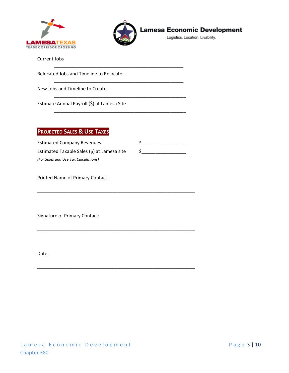



\_\_\_\_\_\_\_\_\_\_\_\_\_\_\_\_\_\_\_\_\_\_\_\_\_\_\_\_\_\_\_\_\_\_\_\_\_\_\_\_\_\_\_\_\_\_\_\_\_\_

\_\_\_\_\_\_\_\_\_\_\_\_\_\_\_\_\_\_\_\_\_\_\_\_\_\_\_\_\_\_\_\_\_\_\_\_\_\_\_\_\_\_\_\_\_\_\_\_\_\_

\_\_\_\_\_\_\_\_\_\_\_\_\_\_\_\_\_\_\_\_\_\_\_\_\_\_\_\_\_\_\_\_\_\_\_\_\_\_\_\_\_\_\_\_\_\_\_\_\_\_\_

\_\_\_\_\_\_\_\_\_\_\_\_\_\_\_\_\_\_\_\_\_\_\_\_\_\_\_\_\_\_\_\_\_\_\_\_\_\_\_\_\_\_\_\_\_\_\_\_\_\_\_

\_\_\_\_\_\_\_\_\_\_\_\_\_\_\_\_\_\_\_\_\_\_\_\_\_\_\_\_\_\_\_\_\_\_\_\_\_\_\_\_\_\_\_\_\_\_\_\_\_\_\_\_\_\_\_\_\_\_\_\_\_

\_\_\_\_\_\_\_\_\_\_\_\_\_\_\_\_\_\_\_\_\_\_\_\_\_\_\_\_\_\_\_\_\_\_\_\_\_\_\_\_\_\_\_\_\_\_\_\_\_\_\_\_\_\_\_\_\_\_\_\_\_

\_\_\_\_\_\_\_\_\_\_\_\_\_\_\_\_\_\_\_\_\_\_\_\_\_\_\_\_\_\_\_\_\_\_\_\_\_\_\_\_\_\_\_\_\_\_\_\_\_\_\_\_\_\_\_\_\_\_\_\_\_

**Lamesa Economic Development** 

Logistics. Location. Livability.

Current Jobs

Relocated Jobs and Timeline to Relocate

New Jobs and Timeline to Create

Estimate Annual Payroll (\$) at Lamesa Site

# **PROJECTED SALES & USE TAXES**

Estimated Company Revenues  $\zeta$ Estimated Taxable Sales (\$) at Lamesa site  $\qquad$ \$ *(For Sales and Use Tax Calculations)*

Printed Name of Primary Contact:

Signature of Primary Contact:

Date: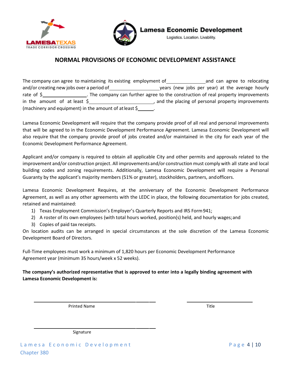



Logistics. Location. Livability.

# **NORMAL PROVISIONS OF ECONOMIC DEVELOPMENT ASSISTANCE**

The company can agree to maintaining its existing employment of and can agree to relocating and/or creating new jobs over a period of years (new jobs per year) at the average hourly rate of  $\zeta$  . The company can further agree to the construction of real property improvements in the amount of at least \$ (machinery and equipment) in the amount of at least  $\frac{1}{2}$ 

Lamesa Economic Development will require that the company provide proof of all real and personal improvements that will be agreed to in the Economic Development Performance Agreement. Lamesa Economic Development will also require that the company provide proof of jobs created and/or maintained in the city for each year of the Economic Development Performance Agreement.

Applicant and/or company is required to obtain all applicable City and other permits and approvals related to the improvement and/or construction project. All improvements and/or construction must comply with all state and local building codes and zoning requirements. Additionally, Lamesa Economic Development will require a Personal Guaranty by the applicant's majority members (51% or greater), stockholders, partners, andofficers.

Lamesa Economic Development Requires, at the anniversary of the Economic Development Performance Agreement, as well as any other agreements with the LEDC in place, the following documentation for jobs created, retained and maintained:

- 1) Texas Employment Commission's Employer's Quarterly Reports and IRS Form941;
- 2) A roster of its own employees (with total hours worked, position(s) held, and hourly wages;and
- 3) Copies of paid tax receipts.

On location audits can be arranged in special circumstances at the sole discretion of the Lamesa Economic Development Board of Directors.

Full-Time employees must work a minimum of 1,820 hours per Economic Development Performance Agreement year (minimum 35 hours/week x 52 weeks).

**The company's authorized representative that is approved to enter into a legally binding agreement with Lamesa Economic Development is:**

Printed Name Title

Signature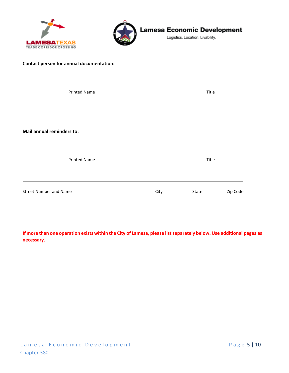



Logistics. Location. Livability.

#### **Contact person for annual documentation:**

| <b>Printed Name</b>           |      | Title |          |
|-------------------------------|------|-------|----------|
| Mail annual reminders to:     |      |       |          |
| <b>Printed Name</b>           |      | Title |          |
| <b>Street Number and Name</b> | City | State | Zip Code |

If more than one operation exists within the City of Lamesa, please list separately below. Use additional pages as **necessary.**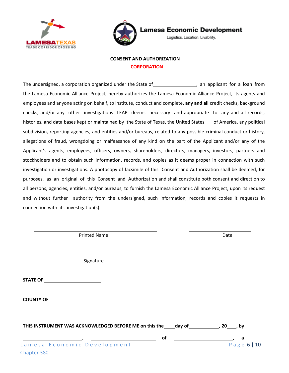



Logistics. Location. Livability.

## **CONSENT AND AUTHORIZATION CORPORATION**

The undersigned, a corporation organized under the State of  $\qquad \qquad$ , an applicant for a loan from the Lamesa Economic Alliance Project, hereby authorizes the Lamesa Economic Alliance Project, its agents and employees and anyone acting on behalf, to institute, conduct and complete, **any and all** credit checks, background checks, and/or any other investigations LEAP deems necessary and appropriate to any and all records, histories, and data bases kept or maintained by the State of Texas, the United States of America, any political subdivision, reporting agencies, and entities and/or bureaus, related to any possible criminal conduct or history, allegations of fraud, wrongdoing or malfeasance of any kind on the part of the Applicant and/or any of the Applicant's agents, employees, officers, owners, shareholders, directors, managers, investors, partners and stockholders and to obtain such information, records, and copies as it deems proper in connection with such investigation or investigations. A photocopy of facsimile of this Consent and Authorization shall be deemed, for purposes, as an original of this Consent and Authorization and shall constitute both consent and direction to all persons, agencies, entities, and/or bureaus, to furnish the Lamesa Economic Alliance Project, upon its request and without further authority from the undersigned, such information, records and copies it requests in connection with its investigation(s).

Printed Name **Date Date Date Date Date Date Date** 

Signature

**STATE OF**

| <b>COUNTY OF</b> |  |
|------------------|--|
|                  |  |

Chapter 380

| THIS INSTRUMENT WAS ACKNOWLEDGED BEFORE ME on this the day of<br>,20, by |    |             |  |
|--------------------------------------------------------------------------|----|-------------|--|
|                                                                          | Ωt |             |  |
| Lamesa Economic Development                                              |    | Page $6 10$ |  |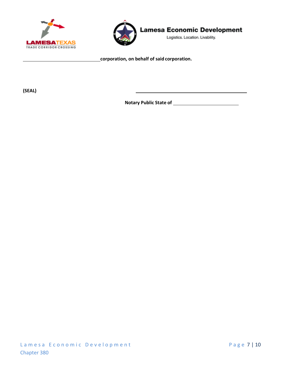



Logistics. Location. Livability.

**corporation, on behalf of said corporation.**

**(SEAL)**

**Notary Public State of**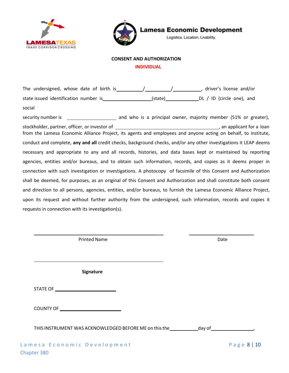



Logistics. Location. Livability.

#### **CONSENT AND AUTHORIZATION**

 **INDIVIDUAL**

The undersigned, whose date of birth is  $\frac{1}{2}$  /  $\frac{1}{2}$  , driver's license and/or state issued identification number is\_\_\_\_\_\_\_\_\_\_\_\_\_\_\_\_\_\_\_\_\_\_(state)\_\_\_\_\_\_\_\_\_\_\_\_\_\_\_DL / ID (circle one), and social

security number is \_\_\_\_\_\_\_\_\_\_\_\_\_\_\_\_\_\_\_\_\_\_\_\_ and who is a principal owner, majority member (51% or greater), stockholder, partner, officer, or investor of an applicant for a loan from the Lamesa Economic Alliance Project, its agents and employees and anyone acting on behalf, to institute, conduct and complete, **any and all** credit checks, background checks, and/or any other investigations it LEAP deems necessary and appropriate to any and all records, histories, and data bases kept or maintained by reporting agencies, entities and/or bureaus, and to obtain such information, records, and copies as it deems proper in connection with such investigation or investigations. A photocopy of facsimile of this Consent and Authorization shall be deemed, for purposes, as an original of this Consent and Authorization and shall constitute both consent and direction to all persons, agencies, entities, and/or bureaus, to furnish the Lamesa Economic Alliance Project, upon its request and without further authority from the undersigned, such information, records and copies it requests in connection with its investigation(s).

Printed Name Date

**Signature**

STATE OF

| <b>COUNTY OF</b> |  |
|------------------|--|
|                  |  |

THIS INSTRUMENT WAS ACKNOWLEDGED BEFORE ME on this the \_\_\_\_\_\_\_\_\_\_\_\_\_\_day of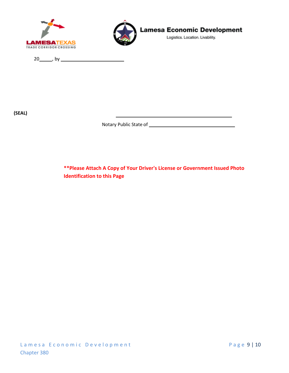



Logistics. Location. Livability.

20 , by

**(SEAL)** 

Notary Public State of

**\*\*Please Attach A Copy of Your Driver's License or Government Issued Photo Identification to this Page**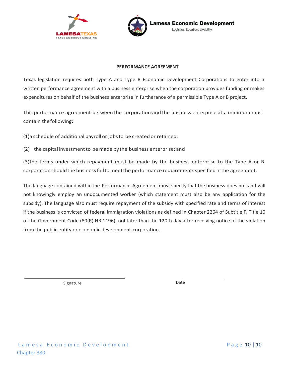



#### **PERFORMANCE AGREEMENT**

Texas legislation requires both Type A and Type B Economic Development Corporations to enter into a written performance agreement with a business enterprise when the corporation provides funding or makes expenditures on behalf of the business enterprise in furtherance of a permissible Type A or B project.

This performance agreement between the corporation and the business enterprise at a minimum must contain thefollowing:

(1)a schedule of additional payroll or jobsto be created or retained;

(2) the capital investmentto be made bythe business enterprise; and

(3)the terms under which repayment must be made by the business enterprise to the Type A or B corporation shouldthe businessfailto meetthe performance requirementsspecifiedinthe agreement.

The language contained within the Performance Agreement must specify that the business does not and will not knowingly employ an undocumented worker (which statement must also be any application for the subsidy). The language also must require repayment of the subsidy with specified rate and terms of interest if the business is convicted of federal immigration violations as defined in Chapter 2264 of Subtitle F, Title 10 of the Government Code (80(R) HB 1196), not later than the 120th day after receiving notice of the violation from the public entity or economic development corporation.

Signature Date Date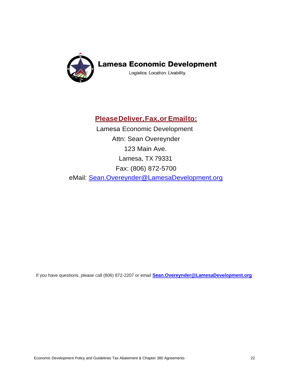

Logistics. Location. Livability.

# **PleaseDeliver,Fax,or Emailto:**

Lamesa Economic Development Attn: Sean Overeynder 123 Main Ave. Lamesa, TX 79331 Fax: (806) 872-5700 eMail: [Sean.Overeynder@LamesaDevelopment.org](mailto:Sean.Overeynder@LamesaDevelopment.org)

If you have questions, please call (806) 872-2207 or email **[Sean.Overeynder@LamesaDevelopment.org](mailto:Sean.Overeynder@LamesaDevelopment.org)**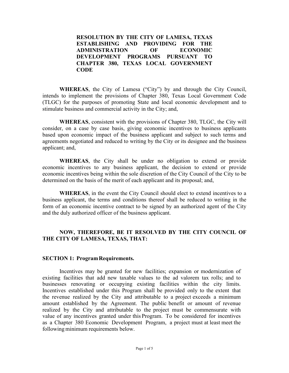**RESOLUTION BY THE CITY OF LAMESA, TEXAS ESTABLISHING AND PROVIDING FOR THE ADMINISTRATION OF ECONOMIC DEVELOPMENT PROGRAMS PURSUANT TO CHAPTER 380, TEXAS LOCAL GOVERNMENT CODE**

**WHEREAS**, the City of Lamesa ("City") by and through the City Council, intends to implement the provisions of Chapter 380, Texas Local Government Code (TLGC) for the purposes of promoting State and local economic development and to stimulate business and commercial activity in the City; and,

**WHEREAS**, consistent with the provisions of Chapter 380, TLGC, the City will consider, on a case by case basis, giving economic incentives to business applicants based upon economic impact of the business applicant and subject to such terms and agreements negotiated and reduced to writing by the City or its designee and the business applicant; and,

**WHEREAS**, the City shall be under no obligation to extend or provide economic incentives to any business applicant, the decision to extend or provide economic incentives being within the sole discretion of the City Council of the City to be determined on the basis of the merit of each applicant and its proposal; and,

**WHEREAS**, in the event the City Council should elect to extend incentives to a business applicant, the terms and conditions thereof shall be reduced to writing in the form of an economic incentive contract to be signed by an authorized agent of the City and the duly authorized officer of the business applicant.

# **NOW, THEREFORE, BE IT RESOLVED BY THE CITY COUNCIL OF THE CITY OF LAMESA, TEXAS, THAT:**

## **SECTION 1: Program Requirements.**

Incentives may be granted for new facilities; expansion or modernization of existing facilities that add new taxable values to the ad valorem tax rolls; and to businesses renovating or occupying existing facilities within the city limits. Incentives established under this Program shall be provided only to the extent that the revenue realized by the City and attributable to a project exceeds a minimum amount established by the Agreement. The public benefit or amount of revenue realized by the City and attributable to the project must be commensurate with value of any incentives granted under this Program. To be considered for incentives as a Chapter 380 Economic Development Program, a project must at least meet the following minimum requirements below.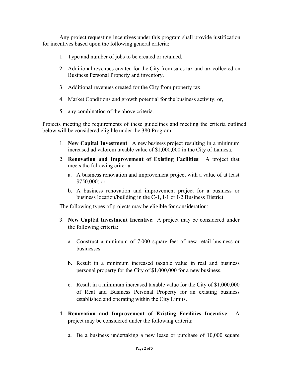Any project requesting incentives under this program shall provide justification for incentives based upon the following general criteria:

- 1. Type and number of jobs to be created or retained.
- 2. Additional revenues created for the City from sales tax and tax collected on Business Personal Property and inventory.
- 3. Additional revenues created for the City from property tax.
- 4. Market Conditions and growth potential for the business activity; or,
- 5. any combination of the above criteria.

Projects meeting the requirements of these guidelines and meeting the criteria outlined below will be considered eligible under the 380 Program:

- 1. **New Capital Investment**: A new business project resulting in a minimum increased ad valorem taxable value of \$1,000,000 in the City of Lamesa.
- 2. **Renovation and Improvement of Existing Facilities**: A project that meets the following criteria:
	- a. A business renovation and improvement project with a value of at least \$750,000; or
	- b. A business renovation and improvement project for a business or business location/building in the C-1, I-1 or I-2 Business District.

The following types of projects may be eligible for consideration:

- 3. **New Capital Investment Incentive**: A project may be considered under the following criteria:
	- a. Construct a minimum of 7,000 square feet of new retail business or businesses.
	- b. Result in a minimum increased taxable value in real and business personal property for the City of \$1,000,000 for a new business.
	- c. Result in a minimum increased taxable value for the City of \$1,000,000 of Real and Business Personal Property for an existing business established and operating within the City Limits.
- 4. **Renovation and Improvement of Existing Facilities Incentive**: A project may be considered under the following criteria:
	- a. Be a business undertaking a new lease or purchase of 10,000 square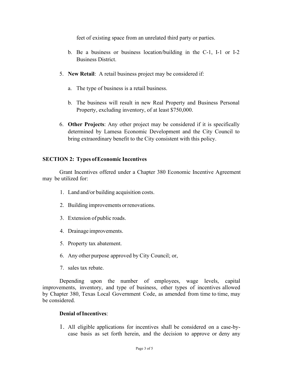feet of existing space from an unrelated third party or parties.

- b. Be a business or business location/building in the C-1, I-1 or I-2 Business District.
- 5. **New Retail**: A retail business project may be considered if:
	- a. The type of business is a retail business.
	- b. The business will result in new Real Property and Business Personal Property, excluding inventory, of at least \$750,000.
- 6. **Other Projects**: Any other project may be considered if it is specifically determined by Lamesa Economic Development and the City Council to bring extraordinary benefit to the City consistent with this policy.

# **SECTION 2: Types of Economic Incentives**

Grant Incentives offered under a Chapter 380 Economic Incentive Agreement may be utilized for:

- 1. Land and/or building acquisition costs.
- 2. Building improvements or renovations.
- 3. Extension of public roads.
- 4. Drainage improvements.
- 5. Property tax abatement.
- 6. Any other purpose approved by City Council; or,
- 7. sales tax rebate.

Depending upon the number of employees, wage levels, capital improvements, inventory, and type of business, other types of incentives allowed by Chapter 380, Texas Local Government Code, as amended from time to time, may be considered.

## **Denial of Incentives**:

1. All eligible applications for incentives shall be considered on a case-bycase basis as set forth herein, and the decision to approve or deny any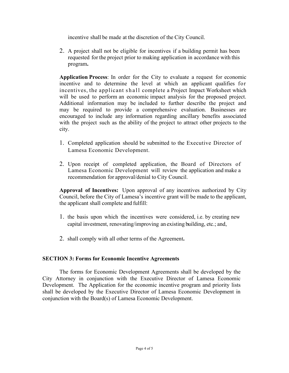incentive shall be made at the discretion of the City Council.

2. A project shall not be eligible for incentives if a building permit has been requested for the project prior to making application in accordance with this program**.**

**Application Process**: In order for the City to evaluate a request for economic incentive and to determine the level at which an applicant qualifies for incentives, the applicant shall complete a Project Impact Worksheet which will be used to perform an economic impact analysis for the proposed project. Additional information may be included to further describe the project and may be required to provide a comprehensive evaluation. Businesses are encouraged to include any information regarding ancillary benefits associated with the project such as the ability of the project to attract other projects to the city.

- 1. Completed application should be submitted to the Executive Director of Lamesa Economic Development.
- 2. Upon receipt of completed application, the Board of Directors of Lamesa Economic Development will review the application and make a recommendation for approval/denial to City Council.

**Approval of Incentives:** Upon approval of any incentives authorized by City Council, before the City of Lamesa's incentive grant will be made to the applicant, the applicant shall complete and fulfill:

- 1. the basis upon which the incentives were considered, i.e. by creating new capital investment, renovating/improving an existing building, etc.; and,
- 2. shall comply with all other terms of the Agreement**.**

# **SECTION 3: Forms for Economic Incentive Agreements**

The forms for Economic Development Agreements shall be developed by the City Attorney in conjunction with the Executive Director of Lamesa Economic Development. The Application for the economic incentive program and priority lists shall be developed by the Executive Director of Lamesa Economic Development in conjunction with the Board(s) of Lamesa Economic Development.